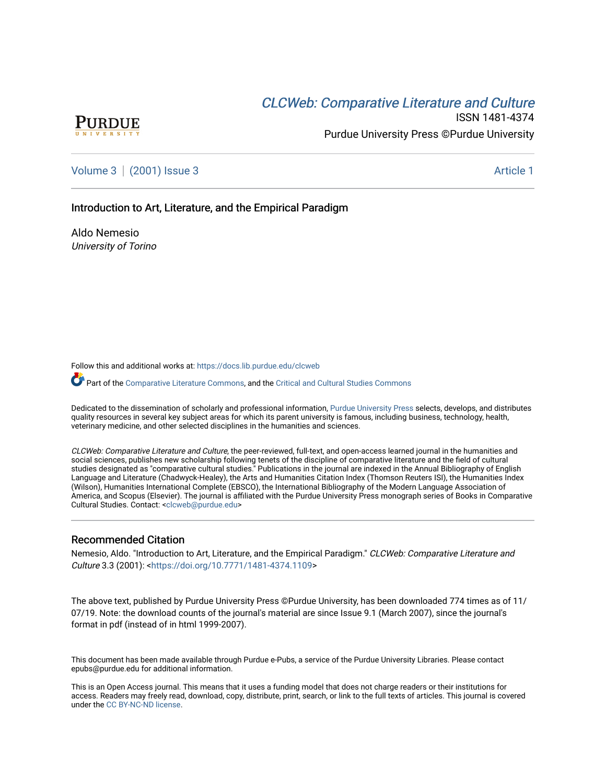## CLCW[eb: Comparative Liter](https://docs.lib.purdue.edu/clcweb)ature and Culture



ISSN 1481-4374 Purdue University Press ©Purdue University

[Volume 3](https://docs.lib.purdue.edu/clcweb/vol3) | [\(2001\) Issue 3](https://docs.lib.purdue.edu/clcweb/vol3/iss3) Article 1

Introduction to Art, Literature, and the Empirical Paradigm

Aldo Nemesio University of Torino

Follow this and additional works at: [https://docs.lib.purdue.edu/clcweb](https://docs.lib.purdue.edu/clcweb?utm_source=docs.lib.purdue.edu%2Fclcweb%2Fvol3%2Fiss3%2F1&utm_medium=PDF&utm_campaign=PDFCoverPages)

Part of the [Comparative Literature Commons,](http://network.bepress.com/hgg/discipline/454?utm_source=docs.lib.purdue.edu%2Fclcweb%2Fvol3%2Fiss3%2F1&utm_medium=PDF&utm_campaign=PDFCoverPages) and the [Critical and Cultural Studies Commons](http://network.bepress.com/hgg/discipline/328?utm_source=docs.lib.purdue.edu%2Fclcweb%2Fvol3%2Fiss3%2F1&utm_medium=PDF&utm_campaign=PDFCoverPages) 

Dedicated to the dissemination of scholarly and professional information, [Purdue University Press](http://www.thepress.purdue.edu/) selects, develops, and distributes quality resources in several key subject areas for which its parent university is famous, including business, technology, health, veterinary medicine, and other selected disciplines in the humanities and sciences.

CLCWeb: Comparative Literature and Culture, the peer-reviewed, full-text, and open-access learned journal in the humanities and social sciences, publishes new scholarship following tenets of the discipline of comparative literature and the field of cultural studies designated as "comparative cultural studies." Publications in the journal are indexed in the Annual Bibliography of English Language and Literature (Chadwyck-Healey), the Arts and Humanities Citation Index (Thomson Reuters ISI), the Humanities Index (Wilson), Humanities International Complete (EBSCO), the International Bibliography of the Modern Language Association of America, and Scopus (Elsevier). The journal is affiliated with the Purdue University Press monograph series of Books in Comparative Cultural Studies. Contact: [<clcweb@purdue.edu](mailto:clcweb@purdue.edu)>

### Recommended Citation

Nemesio, Aldo. "Introduction to Art, Literature, and the Empirical Paradigm." CLCWeb: Comparative Literature and Culture 3.3 (2001): <[https://doi.org/10.7771/1481-4374.1109>](https://doi.org/10.7771/1481-4374.1109)

The above text, published by Purdue University Press ©Purdue University, has been downloaded 774 times as of 11/ 07/19. Note: the download counts of the journal's material are since Issue 9.1 (March 2007), since the journal's format in pdf (instead of in html 1999-2007).

This document has been made available through Purdue e-Pubs, a service of the Purdue University Libraries. Please contact epubs@purdue.edu for additional information.

This is an Open Access journal. This means that it uses a funding model that does not charge readers or their institutions for access. Readers may freely read, download, copy, distribute, print, search, or link to the full texts of articles. This journal is covered under the [CC BY-NC-ND license.](https://creativecommons.org/licenses/by-nc-nd/4.0/)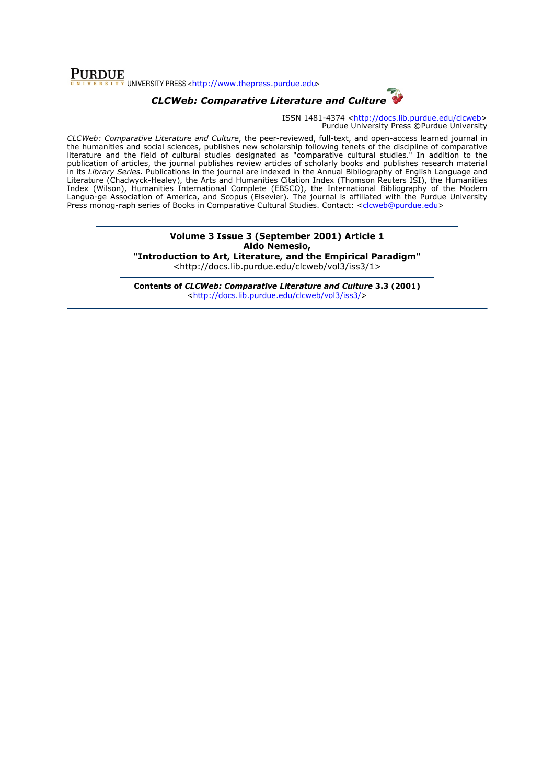**PURDUE**<br>
UNIVERSITY PRESS <http://www.thepress.purdue.edu>

# CLCWeb: Comparative Literature and Culture

ISSN 1481-4374 <http://docs.lib.purdue.edu/clcweb> Purdue University Press ©Purdue University

CLCWeb: Comparative Literature and Culture, the peer-reviewed, full-text, and open-access learned journal in the humanities and social sciences, publishes new scholarship following tenets of the discipline of comparative literature and the field of cultural studies designated as "comparative cultural studies." In addition to the publication of articles, the journal publishes review articles of scholarly books and publishes research material in its Library Series. Publications in the journal are indexed in the Annual Bibliography of English Language and Literature (Chadwyck-Healey), the Arts and Humanities Citation Index (Thomson Reuters ISI), the Humanities Index (Wilson), Humanities International Complete (EBSCO), the International Bibliography of the Modern Langua-ge Association of America, and Scopus (Elsevier). The journal is affiliated with the Purdue University Press monog-raph series of Books in Comparative Cultural Studies. Contact: <clcweb@purdue.edu>

### Volume 3 Issue 3 (September 2001) Article 1 Aldo Nemesio, "Introduction to Art, Literature, and the Empirical Paradigm"

<http://docs.lib.purdue.edu/clcweb/vol3/iss3/1>

Contents of CLCWeb: Comparative Literature and Culture 3.3 (2001) <http://docs.lib.purdue.edu/clcweb/vol3/iss3/>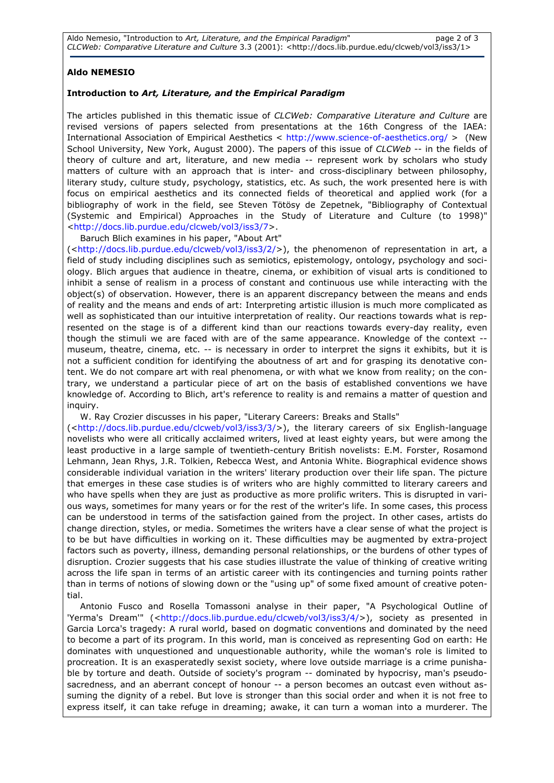### Aldo NEMESIO

### Introduction to Art, Literature, and the Empirical Paradigm

The articles published in this thematic issue of CLCWeb: Comparative Literature and Culture are revised versions of papers selected from presentations at the 16th Congress of the IAEA: International Association of Empirical Aesthetics < http://www.science-of-aesthetics.org/ > (New School University, New York, August 2000). The papers of this issue of CLCWeb -- in the fields of theory of culture and art, literature, and new media -- represent work by scholars who study matters of culture with an approach that is inter- and cross-disciplinary between philosophy, literary study, culture study, psychology, statistics, etc. As such, the work presented here is with focus on empirical aesthetics and its connected fields of theoretical and applied work (for a bibliography of work in the field, see Steven Tötösy de Zepetnek, "Bibliography of Contextual (Systemic and Empirical) Approaches in the Study of Literature and Culture (to 1998)" <http://docs.lib.purdue.edu/clcweb/vol3/iss3/7>.

Baruch Blich examines in his paper, "About Art"

(<http://docs.lib.purdue.edu/clcweb/vol3/iss3/2/>), the phenomenon of representation in art, a field of study including disciplines such as semiotics, epistemology, ontology, psychology and sociology. Blich argues that audience in theatre, cinema, or exhibition of visual arts is conditioned to inhibit a sense of realism in a process of constant and continuous use while interacting with the object(s) of observation. However, there is an apparent discrepancy between the means and ends of reality and the means and ends of art: Interpreting artistic illusion is much more complicated as well as sophisticated than our intuitive interpretation of reality. Our reactions towards what is represented on the stage is of a different kind than our reactions towards every-day reality, even though the stimuli we are faced with are of the same appearance. Knowledge of the context - museum, theatre, cinema, etc. -- is necessary in order to interpret the signs it exhibits, but it is not a sufficient condition for identifying the aboutness of art and for grasping its denotative content. We do not compare art with real phenomena, or with what we know from reality; on the contrary, we understand a particular piece of art on the basis of established conventions we have knowledge of. According to Blich, art's reference to reality is and remains a matter of question and inquiry.

W. Ray Crozier discusses in his paper, "Literary Careers: Breaks and Stalls"

(<http://docs.lib.purdue.edu/clcweb/vol3/iss3/3/>), the literary careers of six English-language novelists who were all critically acclaimed writers, lived at least eighty years, but were among the least productive in a large sample of twentieth-century British novelists: E.M. Forster, Rosamond Lehmann, Jean Rhys, J.R. Tolkien, Rebecca West, and Antonia White. Biographical evidence shows considerable individual variation in the writers' literary production over their life span. The picture that emerges in these case studies is of writers who are highly committed to literary careers and who have spells when they are just as productive as more prolific writers. This is disrupted in various ways, sometimes for many years or for the rest of the writer's life. In some cases, this process can be understood in terms of the satisfaction gained from the project. In other cases, artists do change direction, styles, or media. Sometimes the writers have a clear sense of what the project is to be but have difficulties in working on it. These difficulties may be augmented by extra-project factors such as poverty, illness, demanding personal relationships, or the burdens of other types of disruption. Crozier suggests that his case studies illustrate the value of thinking of creative writing across the life span in terms of an artistic career with its contingencies and turning points rather than in terms of notions of slowing down or the "using up" of some fixed amount of creative potential.

Antonio Fusco and Rosella Tomassoni analyse in their paper, "A Psychological Outline of 'Yerma's Dream'" (<http://docs.lib.purdue.edu/clcweb/vol3/iss3/4/>), society as presented in Garcia Lorca's tragedy: A rural world, based on dogmatic conventions and dominated by the need to become a part of its program. In this world, man is conceived as representing God on earth: He dominates with unquestioned and unquestionable authority, while the woman's role is limited to procreation. It is an exasperatedly sexist society, where love outside marriage is a crime punishable by torture and death. Outside of society's program -- dominated by hypocrisy, man's pseudosacredness, and an aberrant concept of honour -- a person becomes an outcast even without assuming the dignity of a rebel. But love is stronger than this social order and when it is not free to express itself, it can take refuge in dreaming; awake, it can turn a woman into a murderer. The